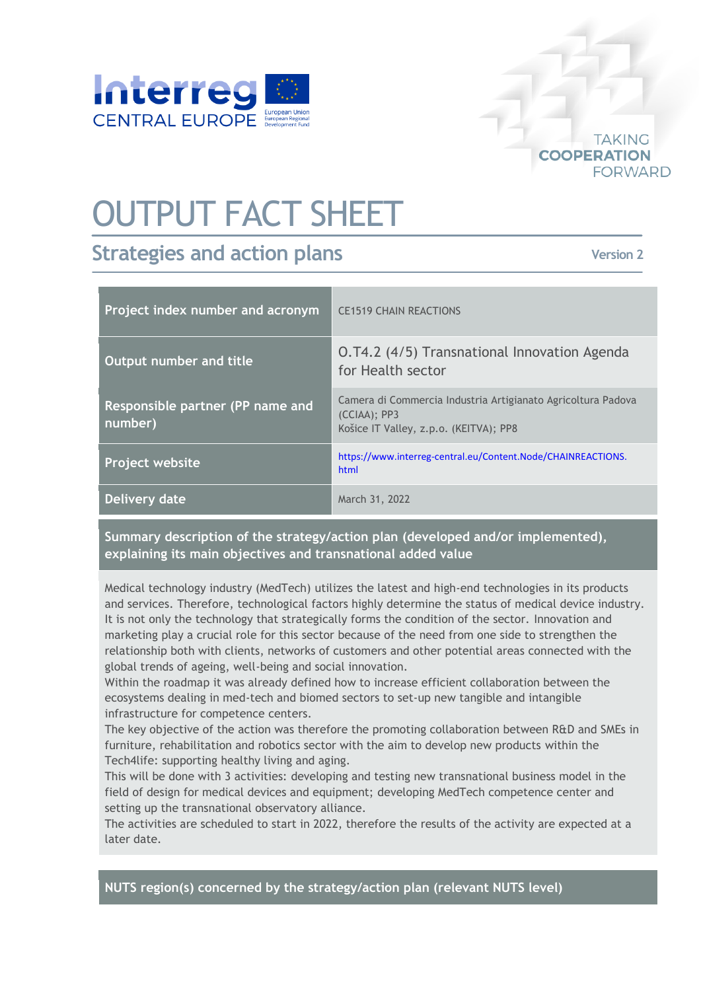

## OUTPUT FACT SHEET

## **Strategies and action plans**

**Version 2**

**TAKING** 

**FORWARD** 

**COOPERATION** 

| Project index number and acronym            | <b>CE1519 CHAIN REACTIONS</b>                                                                                             |
|---------------------------------------------|---------------------------------------------------------------------------------------------------------------------------|
| Output number and title                     | O.T4.2 (4/5) Transnational Innovation Agenda<br>for Health sector                                                         |
| Responsible partner (PP name and<br>number) | Camera di Commercia Industria Artigianato Agricoltura Padova<br>$(CCIAA)$ ; PP3<br>Košice IT Valley, z.p.o. (KEITVA); PP8 |
| Project website                             | https://www.interreg-central.eu/Content.Node/CHAINREACTIONS.<br>html                                                      |
| Delivery date                               | March 31, 2022                                                                                                            |

**Summary description of the strategy/action plan (developed and/or implemented), explaining its main objectives and transnational added value**

Medical technology industry (MedTech) utilizes the latest and high-end technologies in its products and services. Therefore, technological factors highly determine the status of medical device industry. It is not only the technology that strategically forms the condition of the sector. Innovation and marketing play a crucial role for this sector because of the need from one side to strengthen the relationship both with clients, networks of customers and other potential areas connected with the global trends of ageing, well-being and social innovation.

Within the roadmap it was already defined how to increase efficient collaboration between the ecosystems dealing in med-tech and biomed sectors to set-up new tangible and intangible infrastructure for competence centers.

The key objective of the action was therefore the promoting collaboration between R&D and SMEs in furniture, rehabilitation and robotics sector with the aim to develop new products within the Tech4life: supporting healthy living and aging.

This will be done with 3 activities: developing and testing new transnational business model in the field of design for medical devices and equipment; developing MedTech competence center and setting up the transnational observatory alliance.

The activities are scheduled to start in 2022, therefore the results of the activity are expected at a later date.

**NUTS region(s) concerned by the strategy/action plan (relevant NUTS level)**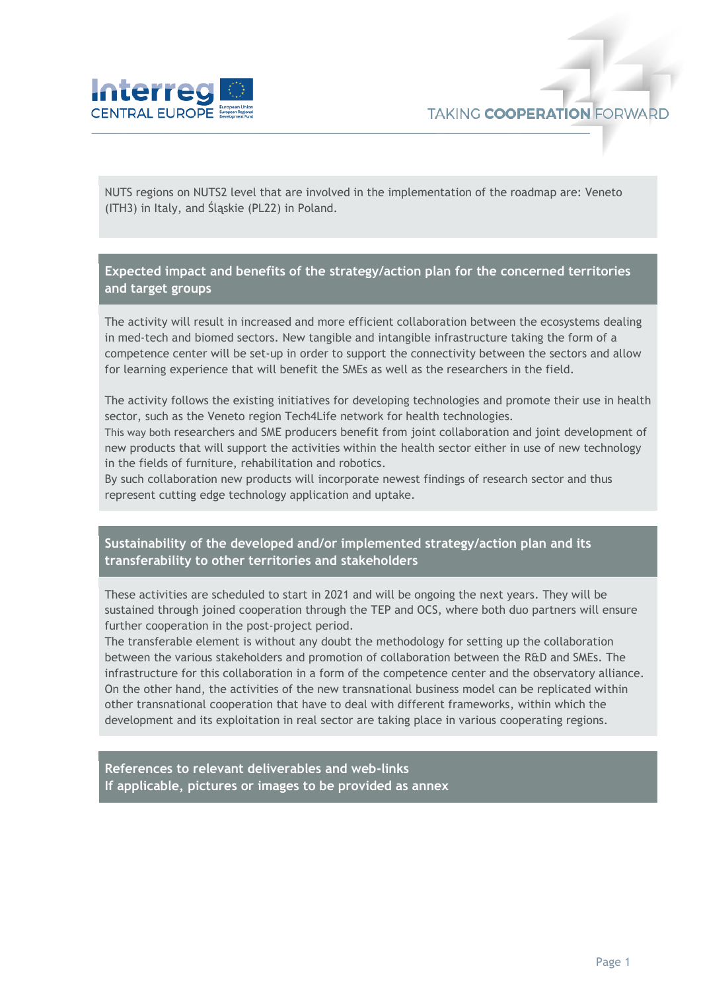

NUTS regions on NUTS2 level that are involved in the implementation of the roadmap are: Veneto (ITH3) in Italy, and Śląskie (PL22) in Poland.

**Expected impact and benefits of the strategy/action plan for the concerned territories and target groups**

The activity will result in increased and more efficient collaboration between the ecosystems dealing in med-tech and biomed sectors. New tangible and intangible infrastructure taking the form of a competence center will be set-up in order to support the connectivity between the sectors and allow for learning experience that will benefit the SMEs as well as the researchers in the field.

The activity follows the existing initiatives for developing technologies and promote their use in health sector, such as the Veneto region Tech4Life network for health technologies.

This way both researchers and SME producers benefit from joint collaboration and joint development of new products that will support the activities within the health sector either in use of new technology in the fields of furniture, rehabilitation and robotics.

By such collaboration new products will incorporate newest findings of research sector and thus represent cutting edge technology application and uptake.

## **Sustainability of the developed and/or implemented strategy/action plan and its transferability to other territories and stakeholders**

These activities are scheduled to start in 2021 and will be ongoing the next years. They will be sustained through joined cooperation through the TEP and OCS, where both duo partners will ensure further cooperation in the post-project period.

The transferable element is without any doubt the methodology for setting up the collaboration between the various stakeholders and promotion of collaboration between the R&D and SMEs. The infrastructure for this collaboration in a form of the competence center and the observatory alliance. On the other hand, the activities of the new transnational business model can be replicated within other transnational cooperation that have to deal with different frameworks, within which the development and its exploitation in real sector are taking place in various cooperating regions.

**References to relevant deliverables and web-links If applicable, pictures or images to be provided as annex**